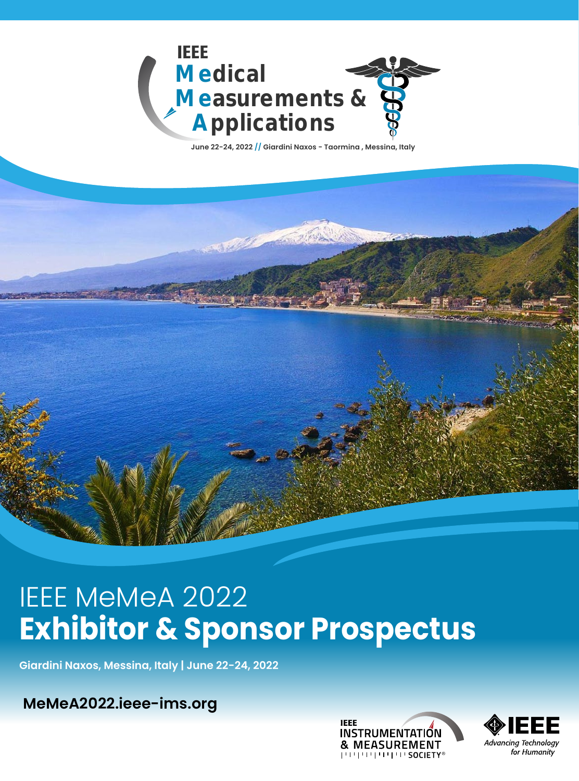

# IEEE MeMeA 2022 **Exhibitor & Sponsor Prospectus**

**Giardini Naxos, Messina, Italy | June 22-24, 2022**

**MeMe[A2022.ieee-ims.org](http://memea2022.ieee-ims.org)**



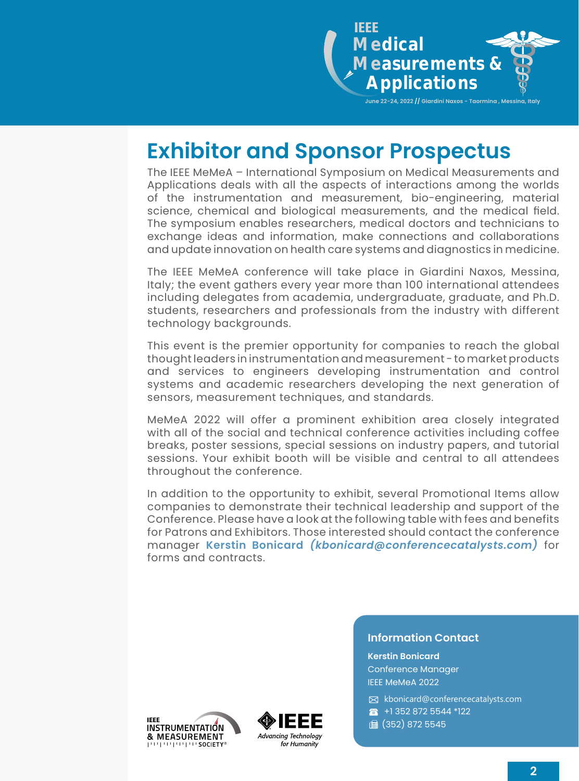

# **Exhibitor and Sponsor Prospectus**

The IEEE MeMeA – International Symposium on Medical Measurements and Applications deals with all the aspects of interactions among the worlds of the instrumentation and measurement, bio-engineering, material science, chemical and biological measurements, and the medical field. The symposium enables researchers, medical doctors and technicians to exchange ideas and information, make connections and collaborations and update innovation on health care systems and diagnostics in medicine.

The IEEE MeMeA conference will take place in Giardini Naxos, Messina, Italy; the event gathers every year more than 100 international attendees including delegates from academia, undergraduate, graduate, and Ph.D. students, researchers and professionals from the industry with different technology backgrounds.

This event is the premier opportunity for companies to reach the global thought leaders in instrumentation and measurement - to market products and services to engineers developing instrumentation and control systems and academic researchers developing the next generation of sensors, measurement techniques, and standards.

MeMeA 2022 will offer a prominent exhibition area closely integrated with all of the social and technical conference activities including coffee breaks, poster sessions, special sessions on industry papers, and tutorial sessions. Your exhibit booth will be visible and central to all attendees throughout the conference.

In addition to the opportunity to exhibit, several Promotional Items allow companies to demonstrate their technical leadership and support of the Conference. Please have a look at the following table with fees and benefits for Patrons and Exhibitors. Those interested should contact the conference manager **Kerstin Bonicard** *[\(kbonicard@conferencecatalysts.com](mailto:kbonicard%40conferencecatalysts.com?subject=))* for forms and contracts.





#### **Information Contact**

**Kerstin Bonicard** Conference Manager IEEE MeMeA 2022

✉ [kbonicard@conferencecatalysts.com](mailto:kbonicard%40conferencecatalysts.com?subject=) ☎ +1 352 872 5544 \*122 (352) 872 5545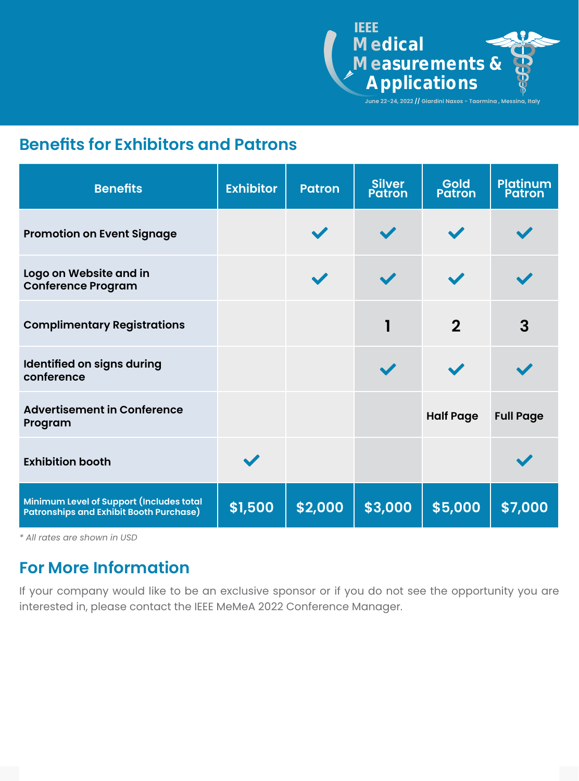

### **Benefits for Exhibitors and Patrons**

| <b>Benefits</b>                                                                     | <b>Exhibitor</b> | <b>Patron</b> | <b>Silver</b><br><b>Patron</b> | <b>Gold</b><br><b>Patron</b> | <b>Platinum</b><br>Patron |
|-------------------------------------------------------------------------------------|------------------|---------------|--------------------------------|------------------------------|---------------------------|
| <b>Promotion on Event Signage</b>                                                   |                  |               |                                |                              |                           |
| Logo on Website and in<br><b>Conference Program</b>                                 |                  |               | $\blacktriangledown$           |                              |                           |
| <b>Complimentary Registrations</b>                                                  |                  |               |                                | $\mathbf 2$                  | 3                         |
| Identified on signs during<br>conference                                            |                  |               |                                |                              |                           |
| <b>Advertisement in Conference</b><br>Program                                       |                  |               |                                | <b>Half Page</b>             | <b>Full Page</b>          |
| <b>Exhibition booth</b>                                                             |                  |               |                                |                              |                           |
| Minimum Level of Support (Includes total<br>Patronships and Exhibit Booth Purchase) | \$1,500          | \$2,000       | \$3,000                        | \$5,000                      | \$7,000                   |

*\* All rates are shown in USD*

### **For More Information**

If your company would like to be an exclusive sponsor or if you do not see the opportunity you are interested in, please contact the IEEE MeMeA 2022 Conference Manager.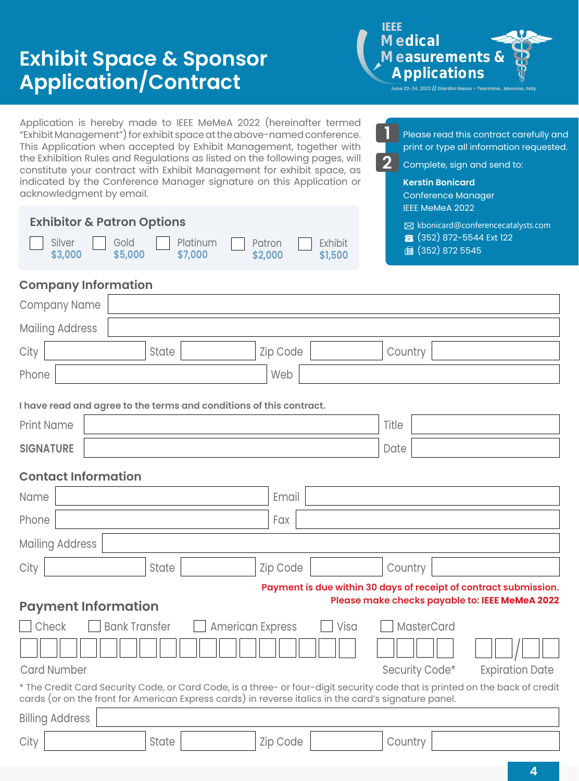## **Exhibit Space & Sponsor Application/Contract**

IEEE l 9 **Medical Measurements & Applications June 22-24, 2022 // Gi** 

> Please read this contract carefully and print or type all information requested.

Complete, sign and send to:

**Kerstin Bonicard**

**2**

**1**

Application is hereby made to IEEE MeMeA 2022 (hereinafter termed "Exhibit Management") for exhibit space at the above-named conference. This Application when accepted by Exhibit Management, together with the Exhibition Rules and Regulations as listed on the following pages, will constitute your contract with Exhibit Management for exhibit space, as indicated by the Conference Manager signature on this Application or

| acknowledgment by email.                                                                             |                                         | <b>Conference Manager</b>                                                                                             |  |  |  |  |
|------------------------------------------------------------------------------------------------------|-----------------------------------------|-----------------------------------------------------------------------------------------------------------------------|--|--|--|--|
| <b>Exhibitor &amp; Patron Options</b><br>Platinum<br>Silver<br>Gold<br>\$3,000<br>\$7,000<br>\$5,000 | Exhibit<br>Patron<br>\$1,500<br>\$2,000 | <b>IEEE MeMeA 2022</b><br>$\boxtimes$ kbonicard@conferencecatalysts.com<br>(352) 872-5544 Ext 122<br>圖 (352) 872 5545 |  |  |  |  |
| <b>Company Information</b>                                                                           |                                         |                                                                                                                       |  |  |  |  |
| Company Name                                                                                         |                                         |                                                                                                                       |  |  |  |  |
| <b>Mailing Address</b>                                                                               |                                         |                                                                                                                       |  |  |  |  |
| City<br>State                                                                                        | Zip Code                                | Country                                                                                                               |  |  |  |  |
| Phone                                                                                                | Web                                     |                                                                                                                       |  |  |  |  |
| I have read and agree to the terms and conditions of this contract.                                  |                                         |                                                                                                                       |  |  |  |  |

**SIGNATURE** | Date **Contact Information** Print Name  $\qquad$  Title

### Name Email Phone Fax **Fax Executive Contract Contract Contract Contract Contract Contract Contract Contract Contract Contract Contract Contract Contract Contract Contract Contract Contract Contract Contract Contract Contract Contract** Mailing Address **Payment Information** Check Bank Transfer American Express Visa MasterCard Card Number Security Code\* Expiration Date \* The Credit Card Security Code, or Card Code, is a three- or four-digit security code that is printed on the back of credit cards (or on the front for American Express cards) in reverse italics in the card's signature panel. Billing Address **Payment is due within 30 days of receipt of contract submission. Please make checks payable to: IEEE MeMeA 2022** City | Country | State | Country | Zip Code | Country | Country City | Country | State | Country | Zip Code | Country | Country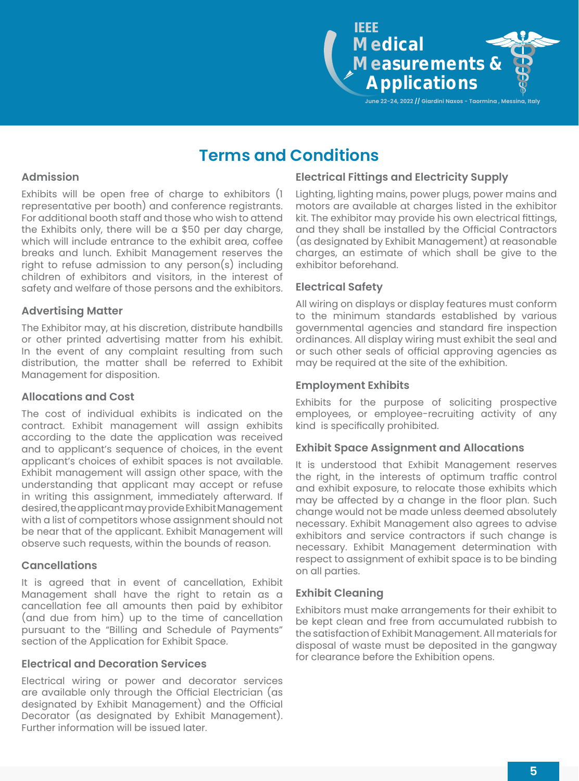

### **Terms and Conditions**

#### **Admission**

Exhibits will be open free of charge to exhibitors (1 representative per booth) and conference registrants. For additional booth staff and those who wish to attend the Exhibits only, there will be a \$50 per day charge, which will include entrance to the exhibit area, coffee breaks and lunch. Exhibit Management reserves the right to refuse admission to any person(s) including children of exhibitors and visitors, in the interest of safety and welfare of those persons and the exhibitors.

#### **Advertising Matter**

The Exhibitor may, at his discretion, distribute handbills or other printed advertising matter from his exhibit. In the event of any complaint resulting from such distribution, the matter shall be referred to Exhibit Management for disposition.

#### **Allocations and Cost**

The cost of individual exhibits is indicated on the contract. Exhibit management will assign exhibits according to the date the application was received and to applicant's sequence of choices, in the event applicant's choices of exhibit spaces is not available. Exhibit management will assign other space, with the understanding that applicant may accept or refuse in writing this assignment, immediately afterward. If desired, the applicant may provide Exhibit Management with a list of competitors whose assignment should not be near that of the applicant. Exhibit Management will observe such requests, within the bounds of reason.

#### **Cancellations**

It is agreed that in event of cancellation, Exhibit Management shall have the right to retain as a cancellation fee all amounts then paid by exhibitor (and due from him) up to the time of cancellation pursuant to the "Billing and Schedule of Payments" section of the Application for Exhibit Space.

#### **Electrical and Decoration Services**

Electrical wiring or power and decorator services are available only through the Official Electrician (as designated by Exhibit Management) and the Official Decorator (as designated by Exhibit Management). Further information will be issued later.

#### **Electrical Fittings and Electricity Supply**

Lighting, lighting mains, power plugs, power mains and motors are available at charges listed in the exhibitor kit. The exhibitor may provide his own electrical fittings, and they shall be installed by the Official Contractors (as designated by Exhibit Management) at reasonable charges, an estimate of which shall be give to the exhibitor beforehand.

#### **Electrical Safety**

All wiring on displays or display features must conform to the minimum standards established by various governmental agencies and standard fire inspection ordinances. All display wiring must exhibit the seal and or such other seals of official approving agencies as may be required at the site of the exhibition.

#### **Employment Exhibits**

Exhibits for the purpose of soliciting prospective employees, or employee-recruiting activity of any kind is specifically prohibited.

#### **Exhibit Space Assignment and Allocations**

It is understood that Exhibit Management reserves the right, in the interests of optimum traffic control and exhibit exposure, to relocate those exhibits which may be affected by a change in the floor plan. Such change would not be made unless deemed absolutely necessary. Exhibit Management also agrees to advise exhibitors and service contractors if such change is necessary. Exhibit Management determination with respect to assignment of exhibit space is to be binding on all parties.

#### **Exhibit Cleaning**

Exhibitors must make arrangements for their exhibit to be kept clean and free from accumulated rubbish to the satisfaction of Exhibit Management. All materials for disposal of waste must be deposited in the gangway for clearance before the Exhibition opens.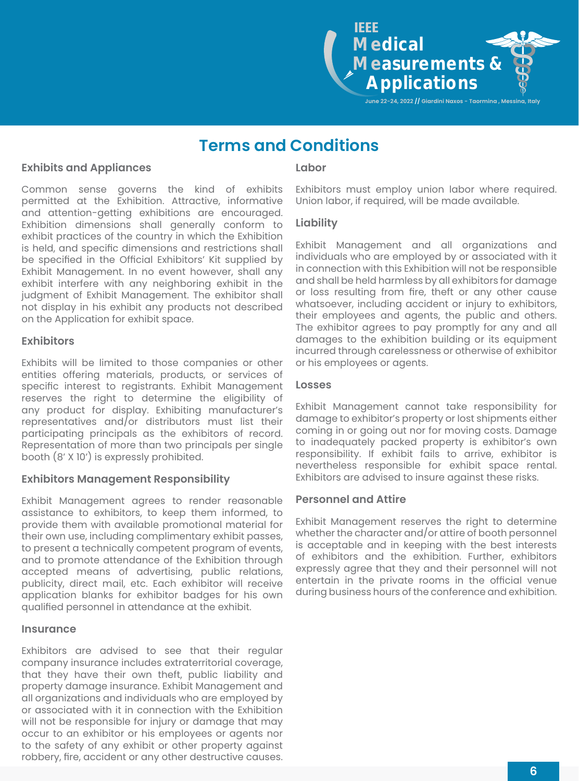**Medical Measurements & Applications** IEEE

**June 22-24, 2022 // Giardini Naxos - Taormina , Messina, Italy**

### **Terms and Conditions**

#### **Exhibits and Appliances**

Common sense governs the kind of exhibits permitted at the Exhibition. Attractive, informative and attention-getting exhibitions are encouraged. Exhibition dimensions shall generally conform to exhibit practices of the country in which the Exhibition is held, and specific dimensions and restrictions shall be specified in the Official Exhibitors' Kit supplied by Exhibit Management. In no event however, shall any exhibit interfere with any neighboring exhibit in the judgment of Exhibit Management. The exhibitor shall not display in his exhibit any products not described on the Application for exhibit space.

#### **Exhibitors**

Exhibits will be limited to those companies or other entities offering materials, products, or services of specific interest to registrants. Exhibit Management reserves the right to determine the eligibility of any product for display. Exhibiting manufacturer's representatives and/or distributors must list their participating principals as the exhibitors of record. Representation of more than two principals per single booth (8' X 10') is expressly prohibited.

#### **Exhibitors Management Responsibility**

Exhibit Management agrees to render reasonable assistance to exhibitors, to keep them informed, to provide them with available promotional material for their own use, including complimentary exhibit passes, to present a technically competent program of events, and to promote attendance of the Exhibition through accepted means of advertising, public relations, publicity, direct mail, etc. Each exhibitor will receive application blanks for exhibitor badges for his own qualified personnel in attendance at the exhibit.

#### **Insurance**

Exhibitors are advised to see that their regular company insurance includes extraterritorial coverage, that they have their own theft, public liability and property damage insurance. Exhibit Management and all organizations and individuals who are employed by or associated with it in connection with the Exhibition will not be responsible for injury or damage that may occur to an exhibitor or his employees or agents nor to the safety of any exhibit or other property against robbery, fire, accident or any other destructive causes.

#### **Labor**

Exhibitors must employ union labor where required. Union labor, if required, will be made available.

#### **Liability**

Exhibit Management and all organizations and individuals who are employed by or associated with it in connection with this Exhibition will not be responsible and shall be held harmless by all exhibitors for damage or loss resulting from fire, theft or any other cause whatsoever, including accident or injury to exhibitors, their employees and agents, the public and others. The exhibitor agrees to pay promptly for any and all damages to the exhibition building or its equipment incurred through carelessness or otherwise of exhibitor or his employees or agents.

#### **Losses**

Exhibit Management cannot take responsibility for damage to exhibitor's property or lost shipments either coming in or going out nor for moving costs. Damage to inadequately packed property is exhibitor's own responsibility. If exhibit fails to arrive, exhibitor is nevertheless responsible for exhibit space rental. Exhibitors are advised to insure against these risks.

#### **Personnel and Attire**

Exhibit Management reserves the right to determine whether the character and/or attire of booth personnel is acceptable and in keeping with the best interests of exhibitors and the exhibition. Further, exhibitors expressly agree that they and their personnel will not entertain in the private rooms in the official venue during business hours of the conference and exhibition.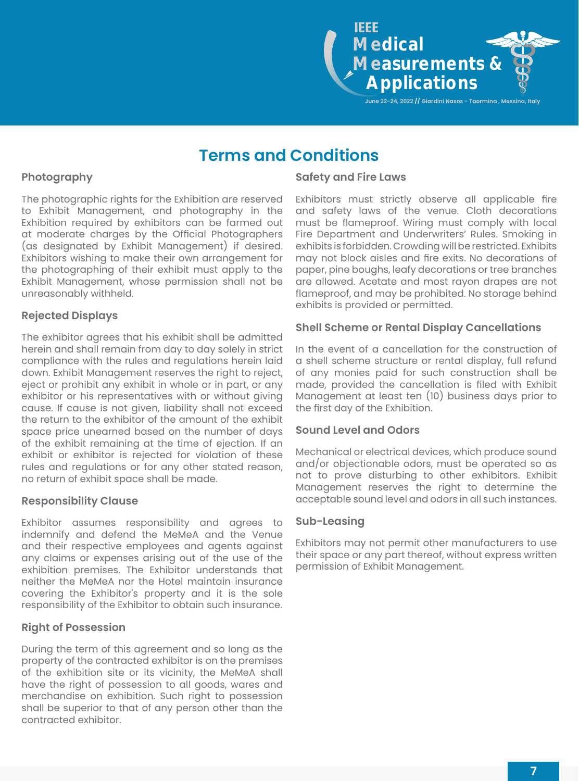

### **Terms and Conditions**

#### **Photography**

The photographic rights for the Exhibition are reserved to Exhibit Management, and photography in the Exhibition required by exhibitors can be farmed out at moderate charges by the Official Photographers (as designated by Exhibit Management) if desired. Exhibitors wishing to make their own arrangement for the photographing of their exhibit must apply to the Exhibit Management, whose permission shall not be unreasonably withheld.

#### **Rejected Displays**

The exhibitor agrees that his exhibit shall be admitted herein and shall remain from day to day solely in strict compliance with the rules and regulations herein laid down. Exhibit Management reserves the right to reject, eject or prohibit any exhibit in whole or in part, or any exhibitor or his representatives with or without giving cause. If cause is not given, liability shall not exceed the return to the exhibitor of the amount of the exhibit space price unearned based on the number of days of the exhibit remaining at the time of ejection. If an exhibit or exhibitor is rejected for violation of these rules and regulations or for any other stated reason, no return of exhibit space shall be made.

#### **Responsibility Clause**

Exhibitor assumes responsibility and agrees to indemnify and defend the MeMeA and the Venue and their respective employees and agents against any claims or expenses arising out of the use of the exhibition premises. The Exhibitor understands that neither the MeMeA nor the Hotel maintain insurance covering the Exhibitor's property and it is the sole responsibility of the Exhibitor to obtain such insurance.

#### **Right of Possession**

During the term of this agreement and so long as the property of the contracted exhibitor is on the premises of the exhibition site or its vicinity, the MeMeA shall have the right of possession to all goods, wares and merchandise on exhibition. Such right to possession shall be superior to that of any person other than the contracted exhibitor.

#### **Safety and Fire Laws**

Exhibitors must strictly observe all applicable fire and safety laws of the venue. Cloth decorations must be flameproof. Wiring must comply with local Fire Department and Underwriters' Rules. Smoking in exhibits is forbidden. Crowding will be restricted. Exhibits may not block aisles and fire exits. No decorations of paper, pine boughs, leafy decorations or tree branches are allowed. Acetate and most rayon drapes are not flameproof, and may be prohibited. No storage behind exhibits is provided or permitted.

#### **Shell Scheme or Rental Display Cancellations**

In the event of a cancellation for the construction of a shell scheme structure or rental display, full refund of any monies paid for such construction shall be made, provided the cancellation is filed with Exhibit Management at least ten (10) business days prior to the first day of the Exhibition.

#### **Sound Level and Odors**

Mechanical or electrical devices, which produce sound and/or objectionable odors, must be operated so as not to prove disturbing to other exhibitors. Exhibit Management reserves the right to determine the acceptable sound level and odors in all such instances.

#### **Sub-Leasing**

Exhibitors may not permit other manufacturers to use their space or any part thereof, without express written permission of Exhibit Management.